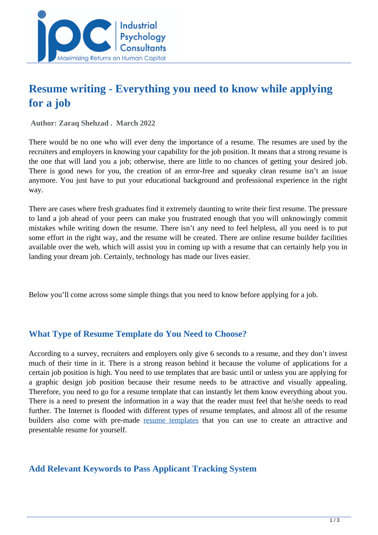

# **Resume writing - Everything you need to know while applying for a job**

 **Author: Zaraq Shehzad . March 2022** 

There would be no one who will ever deny the importance of a resume. The resumes are used by the recruiters and employers in knowing your capability for the job position. It means that a strong resume is the one that will land you a job; otherwise, there are little to no chances of getting your desired job. There is good news for you, the creation of an error-free and squeaky clean resume isn't an issue anymore. You just have to put your educational background and professional experience in the right way.

There are cases where fresh graduates find it extremely daunting to write their first resume. The pressure to land a job ahead of your peers can make you frustrated enough that you will unknowingly commit mistakes while writing down the resume. There isn't any need to feel helpless, all you need is to put some effort in the right way, and the resume will be created. There are online resume builder facilities available over the web, which will assist you in coming up with a resume that can certainly help you in landing your dream job. Certainly, technology has made our lives easier.

Below you'll come across some simple things that you need to know before applying for a job.

## **What Type of Resume Template do You Need to Choose?**

According to a survey, recruiters and employers only give 6 seconds to a resume, and they don't invest much of their time in it. There is a strong reason behind it because the volume of applications for a certain job position is high. You need to use templates that are basic until or unless you are applying for a graphic design job position because their resume needs to be attractive and visually appealing. Therefore, you need to go for a resume template that can instantly let them know everything about you. There is a need to present the information in a way that the reader must feel that he/she needs to read further. The Internet is flooded with different types of resume templates, and almost all of the resume builders also come with pre-made [resume templates](https://designstudio.smallseotools.com/resume-templates) that you can use to create an attractive and presentable resume for yourself.

#### **Add Relevant Keywords to Pass Applicant Tracking System**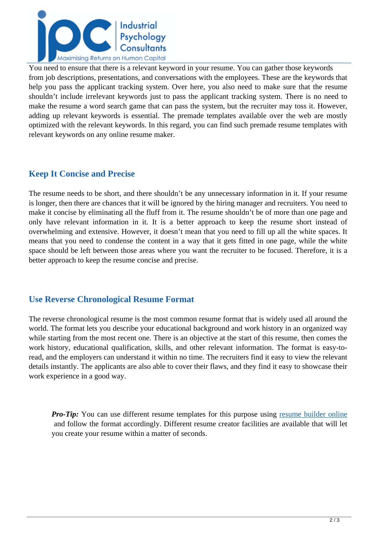

You need to ensure that there is a relevant keyword in your resume. You can gather those keywords from job descriptions, presentations, and conversations with the employees. These are the keywords that help you pass the applicant tracking system. Over here, you also need to make sure that the resume shouldn't include irrelevant keywords just to pass the applicant tracking system. There is no need to make the resume a word search game that can pass the system, but the recruiter may toss it. However, adding up relevant keywords is essential. The premade templates available over the web are mostly optimized with the relevant keywords. In this regard, you can find such premade resume templates with relevant keywords on any online resume maker.

# **Keep It Concise and Precise**

The resume needs to be short, and there shouldn't be any unnecessary information in it. If your resume is longer, then there are chances that it will be ignored by the hiring manager and recruiters. You need to make it concise by eliminating all the fluff from it. The resume shouldn't be of more than one page and only have relevant information in it. It is a better approach to keep the resume short instead of overwhelming and extensive. However, it doesn't mean that you need to fill up all the white spaces. It means that you need to condense the content in a way that it gets fitted in one page, while the white space should be left between those areas where you want the recruiter to be focused. Therefore, it is a better approach to keep the resume concise and precise.

## **Use Reverse Chronological Resume Format**

The reverse chronological resume is the most common resume format that is widely used all around the world. The format lets you describe your educational background and work history in an organized way while starting from the most recent one. There is an objective at the start of this resume, then comes the work history, educational qualification, skills, and other relevant information. The format is easy-toread, and the employers can understand it within no time. The recruiters find it easy to view the relevant details instantly. The applicants are also able to cover their flaws, and they find it easy to showcase their work experience in a good way.

*Pro-Tip:* You can use different resume templates for this purpose using [resume builder online](https://smallseotools.com/resume-builder/) and follow the format accordingly. Different resume creator facilities are available that will let you create your resume within a matter of seconds.